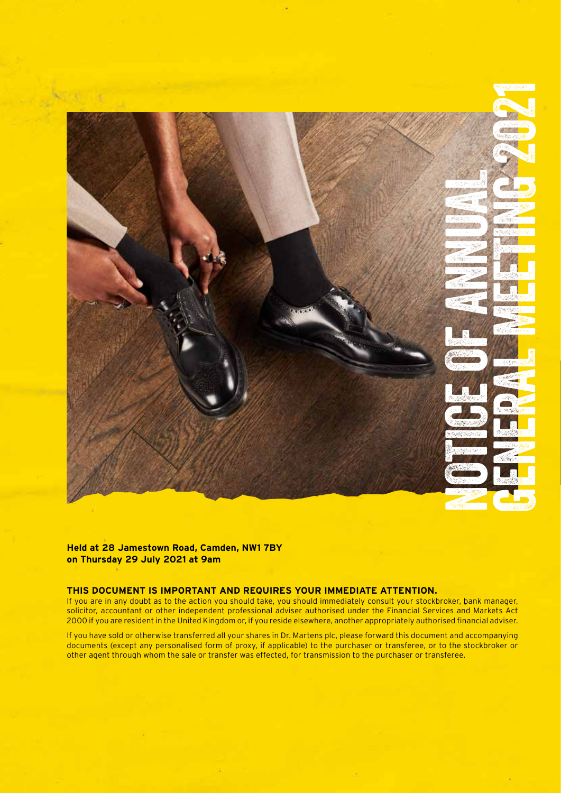

**Held at 28 Jamestown Road, Camden, NW1 7BY on Thursday 29 July 2021 at 9am**

### **THIS DOCUMENT IS IMPORTANT AND REQUIRES YOUR IMMEDIATE ATTENTION.**

If you are in any doubt as to the action you should take, you should immediately consult your stockbroker, bank manager, solicitor, accountant or other independent professional adviser authorised under the Financial Services and Markets Act 2000 if you are resident in the United Kingdom or, if you reside elsewhere, another appropriately authorised financial adviser.

If you have sold or otherwise transferred all your shares in Dr. Martens plc, please forward this document and accompanying documents (except any personalised form of proxy, if applicable) to the purchaser or transferee, or to the stockbroker or other agent through whom the sale or transfer was effected, for transmission to the purchaser or transferee.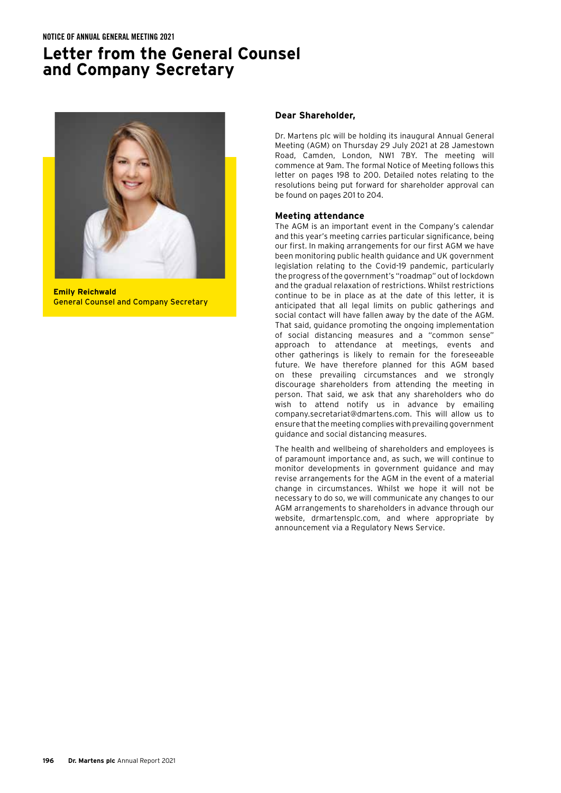# **Letter from the General Counsel and Company Secretary**



**Emily Reichwald** General Counsel and Company Secretary

### **Dear Shareholder,**

Dr. Martens plc will be holding its inaugural Annual General Meeting (AGM) on Thursday 29 July 2021 at 28 Jamestown Road, Camden, London, NW1 7BY. The meeting will commence at 9am. The formal Notice of Meeting follows this letter on pages 198 to 200. Detailed notes relating to the resolutions being put forward for shareholder approval can be found on pages 201 to 204.

### **Meeting attendance**

The AGM is an important event in the Company's calendar and this year's meeting carries particular significance, being our first. In making arrangements for our first AGM we have been monitoring public health guidance and UK government legislation relating to the Covid-19 pandemic, particularly the progress of the government's "roadmap" out of lockdown and the gradual relaxation of restrictions. Whilst restrictions continue to be in place as at the date of this letter, it is anticipated that all legal limits on public gatherings and social contact will have fallen away by the date of the AGM. That said, guidance promoting the ongoing implementation of social distancing measures and a "common sense" approach to attendance at meetings, events and other gatherings is likely to remain for the foreseeable future. We have therefore planned for this AGM based on these prevailing circumstances and we strongly discourage shareholders from attending the meeting in person. That said, we ask that any shareholders who do wish to attend notify us in advance by emailing company.secretariat@dmartens.com. This will allow us to ensure that the meeting complies with prevailing government guidance and social distancing measures.

The health and wellbeing of shareholders and employees is of paramount importance and, as such, we will continue to monitor developments in government guidance and may revise arrangements for the AGM in the event of a material change in circumstances. Whilst we hope it will not be necessary to do so, we will communicate any changes to our AGM arrangements to shareholders in advance through our website, drmartensplc.com, and where appropriate by announcement via a Regulatory News Service.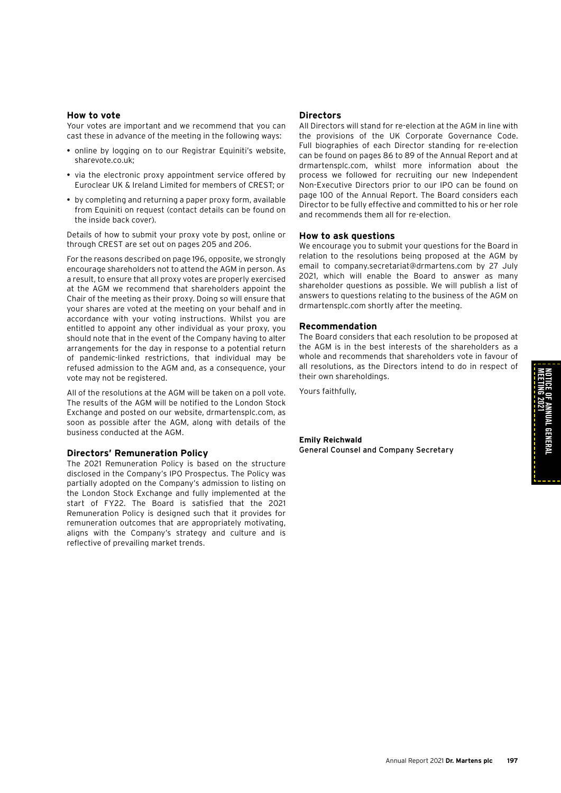#### **How to vote**

Your votes are important and we recommend that you can cast these in advance of the meeting in the following ways:

- online by logging on to our Registrar Equiniti's website, sharevote.co.uk;
- via the electronic proxy appointment service offered by Euroclear UK & Ireland Limited for members of CREST; or
- by completing and returning a paper proxy form, available from Equiniti on request (contact details can be found on the inside back cover).

Details of how to submit your proxy vote by post, online or through CREST are set out on pages 205 and 206.

For the reasons described on page 196, opposite, we strongly encourage shareholders not to attend the AGM in person. As a result, to ensure that all proxy votes are properly exercised at the AGM we recommend that shareholders appoint the Chair of the meeting as their proxy. Doing so will ensure that your shares are voted at the meeting on your behalf and in accordance with your voting instructions. Whilst you are entitled to appoint any other individual as your proxy, you should note that in the event of the Company having to alter arrangements for the day in response to a potential return of pandemic-linked restrictions, that individual may be refused admission to the AGM and, as a consequence, your vote may not be registered.

All of the resolutions at the AGM will be taken on a poll vote. The results of the AGM will be notified to the London Stock Exchange and posted on our website, drmartensplc.com, as soon as possible after the AGM, along with details of the business conducted at the AGM.

#### **Directors' Remuneration Policy**

The 2021 Remuneration Policy is based on the structure disclosed in the Company's IPO Prospectus. The Policy was partially adopted on the Company's admission to listing on the London Stock Exchange and fully implemented at the start of FY22. The Board is satisfied that the 2021 Remuneration Policy is designed such that it provides for remuneration outcomes that are appropriately motivating, aligns with the Company's strategy and culture and is reflective of prevailing market trends.

#### **Directors**

All Directors will stand for re-election at the AGM in line with the provisions of the UK Corporate Governance Code. Full biographies of each Director standing for re-election can be found on pages 86 to 89 of the Annual Report and at drmartensplc.com, whilst more information about the process we followed for recruiting our new Independent Non-Executive Directors prior to our IPO can be found on page 100 of the Annual Report. The Board considers each Director to be fully effective and committed to his or her role and recommends them all for re-election.

#### **How to ask questions**

We encourage you to submit your questions for the Board in relation to the resolutions being proposed at the AGM by email to company.secretariat@drmartens.com by 27 July 2021, which will enable the Board to answer as many shareholder questions as possible. We will publish a list of answers to questions relating to the business of the AGM on drmartensplc.com shortly after the meeting.

#### **Recommendation**

The Board considers that each resolution to be proposed at the AGM is in the best interests of the shareholders as a whole and recommends that shareholders vote in favour of all resolutions, as the Directors intend to do in respect of their own shareholdings.

Yours faithfully,

# **Emily Reichwald**

General Counsel and Company Secretary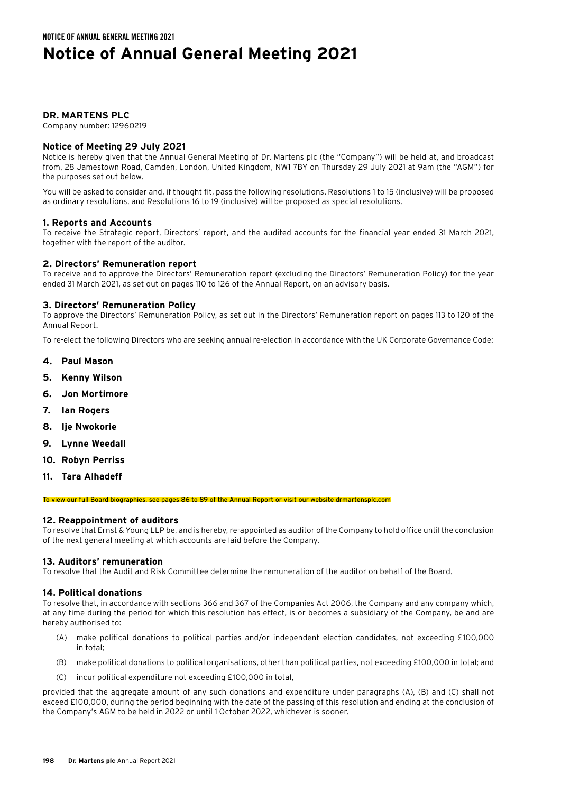# **Notice of Annual General Meeting 2021**

# **DR. MARTENS PLC**

Company number: 12960219

# **Notice of Meeting 29 July 2021**

Notice is hereby given that the Annual General Meeting of Dr. Martens plc (the "Company") will be held at, and broadcast from, 28 Jamestown Road, Camden, London, United Kingdom, NW1 7BY on Thursday 29 July 2021 at 9am (the "AGM") for the purposes set out below.

You will be asked to consider and, if thought fit, pass the following resolutions. Resolutions 1 to 15 (inclusive) will be proposed as ordinary resolutions, and Resolutions 16 to 19 (inclusive) will be proposed as special resolutions.

# **1. Reports and Accounts**

To receive the Strategic report, Directors' report, and the audited accounts for the financial year ended 31 March 2021, together with the report of the auditor.

# **2. Directors' Remuneration report**

To receive and to approve the Directors' Remuneration report (excluding the Directors' Remuneration Policy) for the year ended 31 March 2021, as set out on pages 110 to 126 of the Annual Report, on an advisory basis.

# **3. Directors' Remuneration Policy**

To approve the Directors' Remuneration Policy, as set out in the Directors' Remuneration report on pages 113 to 120 of the Annual Report.

To re-elect the following Directors who are seeking annual re-election in accordance with the UK Corporate Governance Code:

- **4. Paul Mason**
- **5. Kenny Wilson**
- **6. Jon Mortimore**
- **7. Ian Rogers**
- **8. Ije Nwokorie**
- **9. Lynne Weedall**
- **10. Robyn Perriss**
- **11. Tara Alhadeff**

To view our full Board biographies, see pages 86 to 89 of the Annual Report or visit our website drmartensplc.com

# **12. Reappointment of auditors**

To resolve that Ernst & Young LLP be, and is hereby, re-appointed as auditor of the Company to hold office until the conclusion of the next general meeting at which accounts are laid before the Company.

# **13. Auditors' remuneration**

To resolve that the Audit and Risk Committee determine the remuneration of the auditor on behalf of the Board.

# **14. Political donations**

To resolve that, in accordance with sections 366 and 367 of the Companies Act 2006, the Company and any company which, at any time during the period for which this resolution has effect, is or becomes a subsidiary of the Company, be and are hereby authorised to:

- (A) make political donations to political parties and/or independent election candidates, not exceeding £100,000 in total;
- (B) make political donations to political organisations, other than political parties, not exceeding £100,000 in total; and
- (C) incur political expenditure not exceeding £100,000 in total,

provided that the aggregate amount of any such donations and expenditure under paragraphs (A), (B) and (C) shall not exceed £100,000, during the period beginning with the date of the passing of this resolution and ending at the conclusion of the Company's AGM to be held in 2022 or until 1 October 2022, whichever is sooner.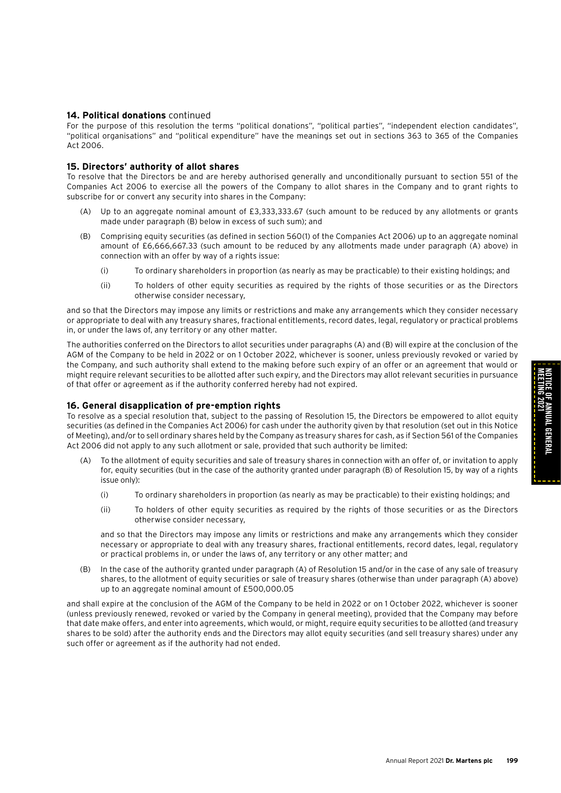### **14. Political donations** continued

For the purpose of this resolution the terms "political donations", "political parties", "independent election candidates", "political organisations" and "political expenditure" have the meanings set out in sections 363 to 365 of the Companies Act 2006.

#### **15. Directors' authority of allot shares**

To resolve that the Directors be and are hereby authorised generally and unconditionally pursuant to section 551 of the Companies Act 2006 to exercise all the powers of the Company to allot shares in the Company and to grant rights to subscribe for or convert any security into shares in the Company:

- (A) Up to an aggregate nominal amount of £3,333,333.67 (such amount to be reduced by any allotments or grants made under paragraph (B) below in excess of such sum); and
- (B) Comprising equity securities (as defined in section 560(1) of the Companies Act 2006) up to an aggregate nominal amount of £6,666,667.33 (such amount to be reduced by any allotments made under paragraph (A) above) in connection with an offer by way of a rights issue:
	- (i) To ordinary shareholders in proportion (as nearly as may be practicable) to their existing holdings; and
	- (ii) To holders of other equity securities as required by the rights of those securities or as the Directors otherwise consider necessary,

and so that the Directors may impose any limits or restrictions and make any arrangements which they consider necessary or appropriate to deal with any treasury shares, fractional entitlements, record dates, legal, regulatory or practical problems in, or under the laws of, any territory or any other matter.

The authorities conferred on the Directors to allot securities under paragraphs (A) and (B) will expire at the conclusion of the AGM of the Company to be held in 2022 or on 1 October 2022, whichever is sooner, unless previously revoked or varied by the Company, and such authority shall extend to the making before such expiry of an offer or an agreement that would or might require relevant securities to be allotted after such expiry, and the Directors may allot relevant securities in pursuance of that offer or agreement as if the authority conferred hereby had not expired.

#### **16. General disapplication of pre-emption rights**

To resolve as a special resolution that, subject to the passing of Resolution 15, the Directors be empowered to allot equity securities (as defined in the Companies Act 2006) for cash under the authority given by that resolution (set out in this Notice of Meeting), and/or to sell ordinary shares held by the Company as treasury shares for cash, as if Section 561 of the Companies Act 2006 did not apply to any such allotment or sale, provided that such authority be limited:

- To the allotment of equity securities and sale of treasury shares in connection with an offer of, or invitation to apply for, equity securities (but in the case of the authority granted under paragraph (B) of Resolution 15, by way of a rights issue only):
	- (i) To ordinary shareholders in proportion (as nearly as may be practicable) to their existing holdings; and
	- (ii) To holders of other equity securities as required by the rights of those securities or as the Directors otherwise consider necessary,

 and so that the Directors may impose any limits or restrictions and make any arrangements which they consider necessary or appropriate to deal with any treasury shares, fractional entitlements, record dates, legal, regulatory or practical problems in, or under the laws of, any territory or any other matter; and

(B) In the case of the authority granted under paragraph (A) of Resolution 15 and/or in the case of any sale of treasury shares, to the allotment of equity securities or sale of treasury shares (otherwise than under paragraph (A) above) up to an aggregate nominal amount of £500,000.05

and shall expire at the conclusion of the AGM of the Company to be held in 2022 or on 1 October 2022, whichever is sooner (unless previously renewed, revoked or varied by the Company in general meeting), provided that the Company may before that date make offers, and enter into agreements, which would, or might, require equity securities to be allotted (and treasury shares to be sold) after the authority ends and the Directors may allot equity securities (and sell treasury shares) under any such offer or agreement as if the authority had not ended.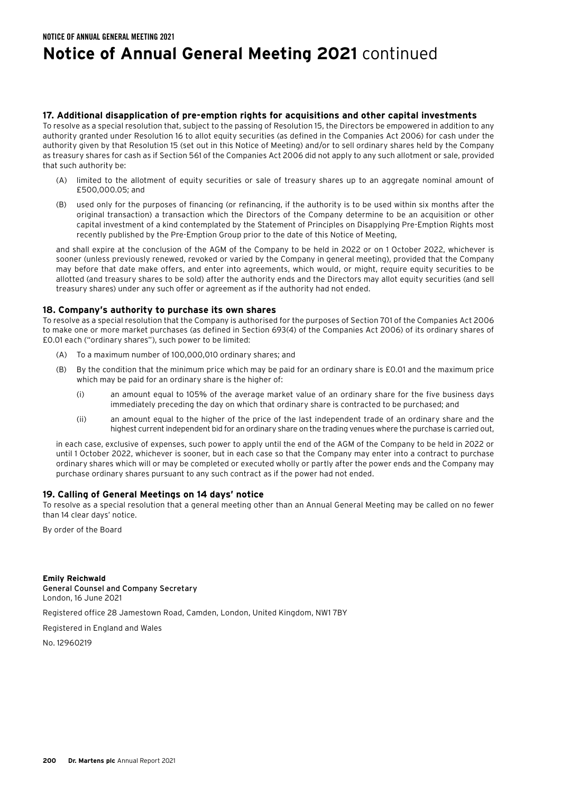# **Notice of Annual General Meeting 2021** continued

### **17. Additional disapplication of pre-emption rights for acquisitions and other capital investments**

To resolve as a special resolution that, subject to the passing of Resolution 15, the Directors be empowered in addition to any authority granted under Resolution 16 to allot equity securities (as defined in the Companies Act 2006) for cash under the authority given by that Resolution 15 (set out in this Notice of Meeting) and/or to sell ordinary shares held by the Company as treasury shares for cash as if Section 561 of the Companies Act 2006 did not apply to any such allotment or sale, provided that such authority be:

- (A) limited to the allotment of equity securities or sale of treasury shares up to an aggregate nominal amount of £500,000.05; and
- (B) used only for the purposes of financing (or refinancing, if the authority is to be used within six months after the original transaction) a transaction which the Directors of the Company determine to be an acquisition or other capital investment of a kind contemplated by the Statement of Principles on Disapplying Pre-Emption Rights most recently published by the Pre-Emption Group prior to the date of this Notice of Meeting,

 and shall expire at the conclusion of the AGM of the Company to be held in 2022 or on 1 October 2022, whichever is sooner (unless previously renewed, revoked or varied by the Company in general meeting), provided that the Company may before that date make offers, and enter into agreements, which would, or might, require equity securities to be allotted (and treasury shares to be sold) after the authority ends and the Directors may allot equity securities (and sell treasury shares) under any such offer or agreement as if the authority had not ended.

# **18. Company's authority to purchase its own shares**

To resolve as a special resolution that the Company is authorised for the purposes of Section 701 of the Companies Act 2006 to make one or more market purchases (as defined in Section 693(4) of the Companies Act 2006) of its ordinary shares of £0.01 each ("ordinary shares"), such power to be limited:

- (A) To a maximum number of 100,000,010 ordinary shares; and
- (B) By the condition that the minimum price which may be paid for an ordinary share is £0.01 and the maximum price which may be paid for an ordinary share is the higher of:
	- (i) an amount equal to 105% of the average market value of an ordinary share for the five business days immediately preceding the day on which that ordinary share is contracted to be purchased; and
	- (ii) an amount equal to the higher of the price of the last independent trade of an ordinary share and the highest current independent bid for an ordinary share on the trading venues where the purchase is carried out,

 in each case, exclusive of expenses, such power to apply until the end of the AGM of the Company to be held in 2022 or until 1 October 2022, whichever is sooner, but in each case so that the Company may enter into a contract to purchase ordinary shares which will or may be completed or executed wholly or partly after the power ends and the Company may purchase ordinary shares pursuant to any such contract as if the power had not ended.

# **19. Calling of General Meetings on 14 days' notice**

To resolve as a special resolution that a general meeting other than an Annual General Meeting may be called on no fewer than 14 clear days' notice.

By order of the Board

**Emily Reichwald** General Counsel and Company Secretary London, 16 June 2021

Registered office 28 Jamestown Road, Camden, London, United Kingdom, NW1 7BY

Registered in England and Wales

No. 12960219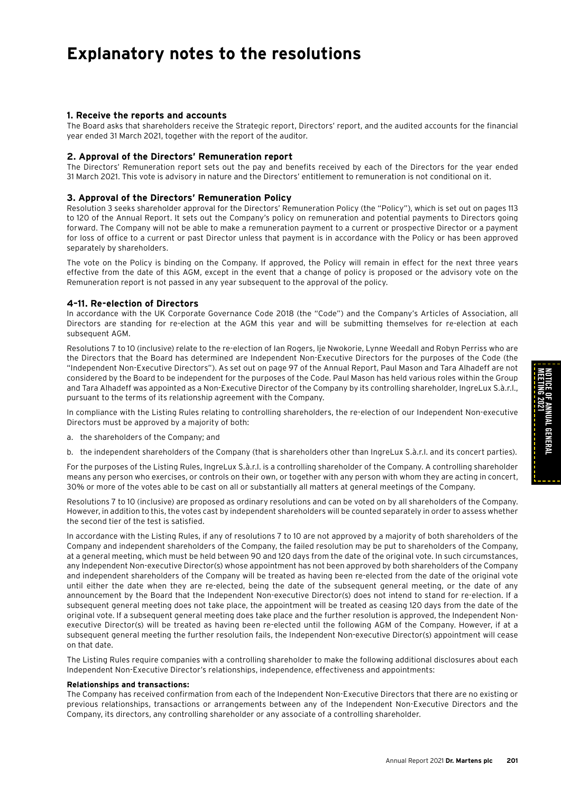# **Explanatory notes to the resolutions**

### **1. Receive the reports and accounts**

The Board asks that shareholders receive the Strategic report, Directors' report, and the audited accounts for the financial year ended 31 March 2021, together with the report of the auditor.

### **2. Approval of the Directors' Remuneration report**

The Directors' Remuneration report sets out the pay and benefits received by each of the Directors for the year ended 31 March 2021. This vote is advisory in nature and the Directors' entitlement to remuneration is not conditional on it.

#### **3. Approval of the Directors' Remuneration Policy**

Resolution 3 seeks shareholder approval for the Directors' Remuneration Policy (the "Policy"), which is set out on pages 113 to 120 of the Annual Report. It sets out the Company's policy on remuneration and potential payments to Directors going forward. The Company will not be able to make a remuneration payment to a current or prospective Director or a payment for loss of office to a current or past Director unless that payment is in accordance with the Policy or has been approved separately by shareholders.

The vote on the Policy is binding on the Company. If approved, the Policy will remain in effect for the next three years effective from the date of this AGM, except in the event that a change of policy is proposed or the advisory vote on the Remuneration report is not passed in any year subsequent to the approval of the policy.

#### **4–11. Re-election of Directors**

In accordance with the UK Corporate Governance Code 2018 (the "Code") and the Company's Articles of Association, all Directors are standing for re-election at the AGM this year and will be submitting themselves for re-election at each subsequent AGM.

Resolutions 7 to 10 (inclusive) relate to the re-election of Ian Rogers, Ije Nwokorie, Lynne Weedall and Robyn Perriss who are the Directors that the Board has determined are Independent Non-Executive Directors for the purposes of the Code (the "Independent Non-Executive Directors"). As set out on page 97 of the Annual Report, Paul Mason and Tara Alhadeff are not considered by the Board to be independent for the purposes of the Code. Paul Mason has held various roles within the Group and Tara Alhadeff was appointed as a Non-Executive Director of the Company by its controlling shareholder, IngreLux S.à.r.l., pursuant to the terms of its relationship agreement with the Company.

In compliance with the Listing Rules relating to controlling shareholders, the re-election of our Independent Non-executive Directors must be approved by a majority of both:

a. the shareholders of the Company; and

b. the independent shareholders of the Company (that is shareholders other than IngreLux S.à.r.l. and its concert parties).

For the purposes of the Listing Rules, IngreLux S.à.r.l. is a controlling shareholder of the Company. A controlling shareholder means any person who exercises, or controls on their own, or together with any person with whom they are acting in concert, 30% or more of the votes able to be cast on all or substantially all matters at general meetings of the Company.

Resolutions 7 to 10 (inclusive) are proposed as ordinary resolutions and can be voted on by all shareholders of the Company. However, in addition to this, the votes cast by independent shareholders will be counted separately in order to assess whether the second tier of the test is satisfied.

In accordance with the Listing Rules, if any of resolutions 7 to 10 are not approved by a majority of both shareholders of the Company and independent shareholders of the Company, the failed resolution may be put to shareholders of the Company, at a general meeting, which must be held between 90 and 120 days from the date of the original vote. In such circumstances, any Independent Non-executive Director(s) whose appointment has not been approved by both shareholders of the Company and independent shareholders of the Company will be treated as having been re-elected from the date of the original vote until either the date when they are re-elected, being the date of the subsequent general meeting, or the date of any announcement by the Board that the Independent Non-executive Director(s) does not intend to stand for re-election. If a subsequent general meeting does not take place, the appointment will be treated as ceasing 120 days from the date of the original vote. If a subsequent general meeting does take place and the further resolution is approved, the Independent Nonexecutive Director(s) will be treated as having been re-elected until the following AGM of the Company. However, if at a subsequent general meeting the further resolution fails, the Independent Non-executive Director(s) appointment will cease on that date.

The Listing Rules require companies with a controlling shareholder to make the following additional disclosures about each Independent Non-Executive Director's relationships, independence, effectiveness and appointments:

#### **Relationships and transactions:**

The Company has received confirmation from each of the Independent Non-Executive Directors that there are no existing or previous relationships, transactions or arrangements between any of the Independent Non-Executive Directors and the Company, its directors, any controlling shareholder or any associate of a controlling shareholder.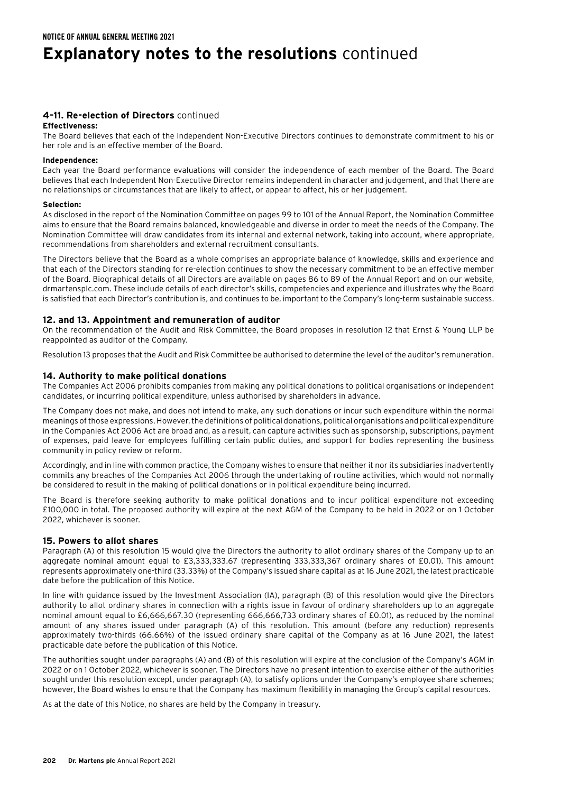# **Explanatory notes to the resolutions** continued

# **4–11. Re-election of Directors** continued

#### **Effectiveness:**

The Board believes that each of the Independent Non-Executive Directors continues to demonstrate commitment to his or her role and is an effective member of the Board.

#### **Independence:**

Each year the Board performance evaluations will consider the independence of each member of the Board. The Board believes that each Independent Non-Executive Director remains independent in character and judgement, and that there are no relationships or circumstances that are likely to affect, or appear to affect, his or her judgement.

#### **Selection:**

As disclosed in the report of the Nomination Committee on pages 99 to 101 of the Annual Report, the Nomination Committee aims to ensure that the Board remains balanced, knowledgeable and diverse in order to meet the needs of the Company. The Nomination Committee will draw candidates from its internal and external network, taking into account, where appropriate, recommendations from shareholders and external recruitment consultants.

The Directors believe that the Board as a whole comprises an appropriate balance of knowledge, skills and experience and that each of the Directors standing for re-election continues to show the necessary commitment to be an effective member of the Board. Biographical details of all Directors are available on pages 86 to 89 of the Annual Report and on our website, drmartensplc.com. These include details of each director's skills, competencies and experience and illustrates why the Board is satisfied that each Director's contribution is, and continues to be, important to the Company's long-term sustainable success.

# **12. and 13. Appointment and remuneration of auditor**

On the recommendation of the Audit and Risk Committee, the Board proposes in resolution 12 that Ernst & Young LLP be reappointed as auditor of the Company.

Resolution 13 proposes that the Audit and Risk Committee be authorised to determine the level of the auditor's remuneration.

### **14. Authority to make political donations**

The Companies Act 2006 prohibits companies from making any political donations to political organisations or independent candidates, or incurring political expenditure, unless authorised by shareholders in advance.

The Company does not make, and does not intend to make, any such donations or incur such expenditure within the normal meanings of those expressions. However, the definitions of political donations, political organisations and political expenditure in the Companies Act 2006 Act are broad and, as a result, can capture activities such as sponsorship, subscriptions, payment of expenses, paid leave for employees fulfilling certain public duties, and support for bodies representing the business community in policy review or reform.

Accordingly, and in line with common practice, the Company wishes to ensure that neither it nor its subsidiaries inadvertently commits any breaches of the Companies Act 2006 through the undertaking of routine activities, which would not normally be considered to result in the making of political donations or in political expenditure being incurred.

The Board is therefore seeking authority to make political donations and to incur political expenditure not exceeding £100,000 in total. The proposed authority will expire at the next AGM of the Company to be held in 2022 or on 1 October 2022, whichever is sooner.

#### **15. Powers to allot shares**

Paragraph (A) of this resolution 15 would give the Directors the authority to allot ordinary shares of the Company up to an aggregate nominal amount equal to £3,333,333.67 (representing 333,333,367 ordinary shares of £0.01). This amount represents approximately one-third (33.33%) of the Company's issued share capital as at 16 June 2021, the latest practicable date before the publication of this Notice.

In line with guidance issued by the Investment Association (IA), paragraph (B) of this resolution would give the Directors authority to allot ordinary shares in connection with a rights issue in favour of ordinary shareholders up to an aggregate nominal amount equal to £6,666,667.30 (representing 666,666,733 ordinary shares of £0.01), as reduced by the nominal amount of any shares issued under paragraph (A) of this resolution. This amount (before any reduction) represents approximately two-thirds (66.66%) of the issued ordinary share capital of the Company as at 16 June 2021, the latest practicable date before the publication of this Notice.

The authorities sought under paragraphs (A) and (B) of this resolution will expire at the conclusion of the Company's AGM in 2022 or on 1 October 2022, whichever is sooner. The Directors have no present intention to exercise either of the authorities sought under this resolution except, under paragraph (A), to satisfy options under the Company's employee share schemes; however, the Board wishes to ensure that the Company has maximum flexibility in managing the Group's capital resources.

As at the date of this Notice, no shares are held by the Company in treasury.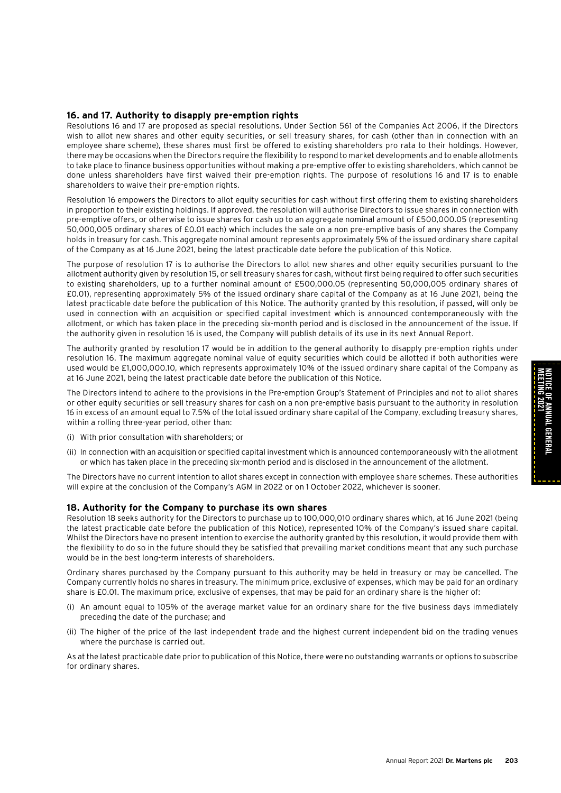MEETING 2021

NOTICE OF ANNUAL GENERAL

NOTICE OF ANNUAL GENERAL<br>Meeting 2021

# **16. and 17. Authority to disapply pre-emption rights**

Resolutions 16 and 17 are proposed as special resolutions. Under Section 561 of the Companies Act 2006, if the Directors wish to allot new shares and other equity securities, or sell treasury shares, for cash (other than in connection with an employee share scheme), these shares must first be offered to existing shareholders pro rata to their holdings. However, there may be occasions when the Directors require the flexibility to respond to market developments and to enable allotments to take place to finance business opportunities without making a pre-emptive offer to existing shareholders, which cannot be done unless shareholders have first waived their pre-emption rights. The purpose of resolutions 16 and 17 is to enable shareholders to waive their pre-emption rights.

Resolution 16 empowers the Directors to allot equity securities for cash without first offering them to existing shareholders in proportion to their existing holdings. If approved, the resolution will authorise Directors to issue shares in connection with pre-emptive offers, or otherwise to issue shares for cash up to an aggregate nominal amount of £500,000.05 (representing 50,000,005 ordinary shares of £0.01 each) which includes the sale on a non pre-emptive basis of any shares the Company holds in treasury for cash. This aggregate nominal amount represents approximately 5% of the issued ordinary share capital of the Company as at 16 June 2021, being the latest practicable date before the publication of this Notice.

The purpose of resolution 17 is to authorise the Directors to allot new shares and other equity securities pursuant to the allotment authority given by resolution 15, or sell treasury shares for cash, without first being required to offer such securities to existing shareholders, up to a further nominal amount of £500,000.05 (representing 50,000,005 ordinary shares of £0.01), representing approximately 5% of the issued ordinary share capital of the Company as at 16 June 2021, being the latest practicable date before the publication of this Notice. The authority granted by this resolution, if passed, will only be used in connection with an acquisition or specified capital investment which is announced contemporaneously with the allotment, or which has taken place in the preceding six-month period and is disclosed in the announcement of the issue. If the authority given in resolution 16 is used, the Company will publish details of its use in its next Annual Report.

The authority granted by resolution 17 would be in addition to the general authority to disapply pre-emption rights under resolution 16. The maximum aggregate nominal value of equity securities which could be allotted if both authorities were used would be £1,000,000.10, which represents approximately 10% of the issued ordinary share capital of the Company as at 16 June 2021, being the latest practicable date before the publication of this Notice.

The Directors intend to adhere to the provisions in the Pre-emption Group's Statement of Principles and not to allot shares or other equity securities or sell treasury shares for cash on a non pre-emptive basis pursuant to the authority in resolution 16 in excess of an amount equal to 7.5% of the total issued ordinary share capital of the Company, excluding treasury shares, within a rolling three-year period, other than:

- (i) With prior consultation with shareholders; or
- (ii) In connection with an acquisition or specified capital investment which is announced contemporaneously with the allotment or which has taken place in the preceding six-month period and is disclosed in the announcement of the allotment.

The Directors have no current intention to allot shares except in connection with employee share schemes. These authorities will expire at the conclusion of the Company's AGM in 2022 or on 1 October 2022, whichever is sooner.

# **18. Authority for the Company to purchase its own shares**

Resolution 18 seeks authority for the Directors to purchase up to 100,000,010 ordinary shares which, at 16 June 2021 (being the latest practicable date before the publication of this Notice), represented 10% of the Company's issued share capital. Whilst the Directors have no present intention to exercise the authority granted by this resolution, it would provide them with the flexibility to do so in the future should they be satisfied that prevailing market conditions meant that any such purchase would be in the best long-term interests of shareholders.

Ordinary shares purchased by the Company pursuant to this authority may be held in treasury or may be cancelled. The Company currently holds no shares in treasury. The minimum price, exclusive of expenses, which may be paid for an ordinary share is £0.01. The maximum price, exclusive of expenses, that may be paid for an ordinary share is the higher of:

- (i) An amount equal to 105% of the average market value for an ordinary share for the five business days immediately preceding the date of the purchase; and
- (ii) The higher of the price of the last independent trade and the highest current independent bid on the trading venues where the purchase is carried out.

As at the latest practicable date prior to publication of this Notice, there were no outstanding warrants or options to subscribe for ordinary shares.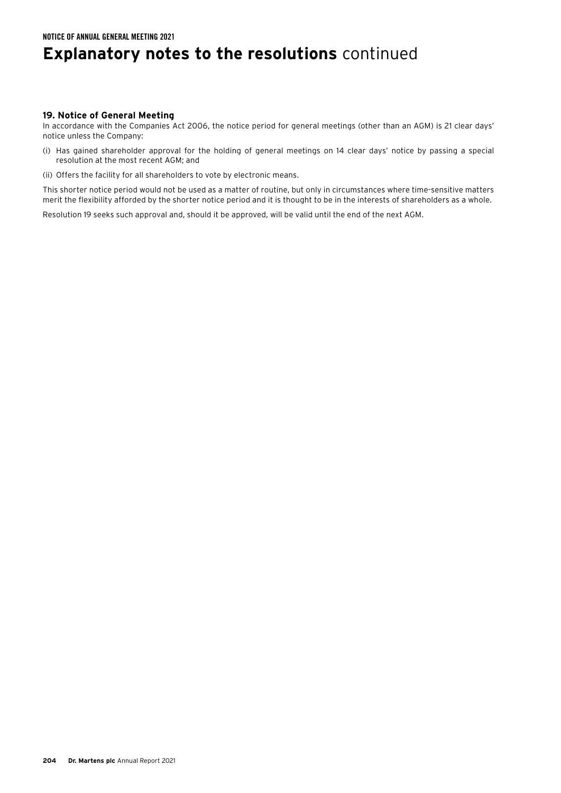# **Explanatory notes to the resolutions** continued

### **19. Notice of General Meeting**

In accordance with the Companies Act 2006, the notice period for general meetings (other than an AGM) is 21 clear days' notice unless the Company:

- (i) Has gained shareholder approval for the holding of general meetings on 14 clear days' notice by passing a special resolution at the most recent AGM; and
- (ii) Offers the facility for all shareholders to vote by electronic means.

This shorter notice period would not be used as a matter of routine, but only in circumstances where time-sensitive matters merit the flexibility afforded by the shorter notice period and it is thought to be in the interests of shareholders as a whole.

Resolution 19 seeks such approval and, should it be approved, will be valid until the end of the next AGM.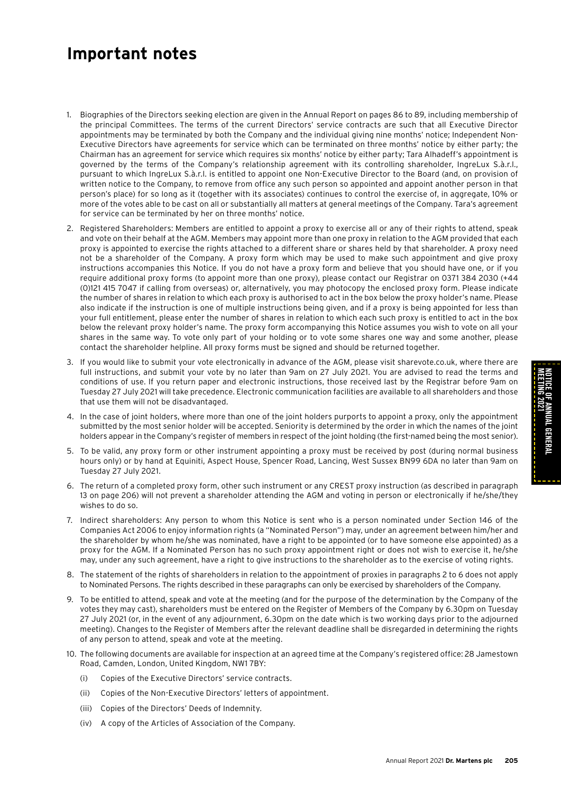# **Important notes**

- 1. Biographies of the Directors seeking election are given in the Annual Report on pages 86 to 89, including membership of the principal Committees. The terms of the current Directors' service contracts are such that all Executive Director appointments may be terminated by both the Company and the individual giving nine months' notice; Independent Non-Executive Directors have agreements for service which can be terminated on three months' notice by either party; the Chairman has an agreement for service which requires six months' notice by either party; Tara Alhadeff's appointment is governed by the terms of the Company's relationship agreement with its controlling shareholder, IngreLux S.à.r.l., pursuant to which IngreLux S.à.r.l. is entitled to appoint one Non-Executive Director to the Board (and, on provision of written notice to the Company, to remove from office any such person so appointed and appoint another person in that person's place) for so long as it (together with its associates) continues to control the exercise of, in aggregate, 10% or more of the votes able to be cast on all or substantially all matters at general meetings of the Company. Tara's agreement for service can be terminated by her on three months' notice.
- 2. Registered Shareholders: Members are entitled to appoint a proxy to exercise all or any of their rights to attend, speak and vote on their behalf at the AGM. Members may appoint more than one proxy in relation to the AGM provided that each proxy is appointed to exercise the rights attached to a different share or shares held by that shareholder. A proxy need not be a shareholder of the Company. A proxy form which may be used to make such appointment and give proxy instructions accompanies this Notice. If you do not have a proxy form and believe that you should have one, or if you require additional proxy forms (to appoint more than one proxy), please contact our Registrar on 0371 384 2030 (+44 (0)121 415 7047 if calling from overseas) or, alternatively, you may photocopy the enclosed proxy form. Please indicate the number of shares in relation to which each proxy is authorised to act in the box below the proxy holder's name. Please also indicate if the instruction is one of multiple instructions being given, and if a proxy is being appointed for less than your full entitlement, please enter the number of shares in relation to which each such proxy is entitled to act in the box below the relevant proxy holder's name. The proxy form accompanying this Notice assumes you wish to vote on all your shares in the same way. To vote only part of your holding or to vote some shares one way and some another, please contact the shareholder helpline. All proxy forms must be signed and should be returned together.
- 3. If you would like to submit your vote electronically in advance of the AGM, please visit sharevote.co.uk, where there are full instructions, and submit your vote by no later than 9am on 27 July 2021. You are advised to read the terms and conditions of use. If you return paper and electronic instructions, those received last by the Registrar before 9am on Tuesday 27 July 2021 will take precedence. Electronic communication facilities are available to all shareholders and those that use them will not be disadvantaged.
- 4. In the case of joint holders, where more than one of the joint holders purports to appoint a proxy, only the appointment submitted by the most senior holder will be accepted. Seniority is determined by the order in which the names of the joint holders appear in the Company's register of members in respect of the joint holding (the first-named being the most senior).
- 5. To be valid, any proxy form or other instrument appointing a proxy must be received by post (during normal business hours only) or by hand at Equiniti, Aspect House, Spencer Road, Lancing, West Sussex BN99 6DA no later than 9am on Tuesday 27 July 2021.
- 6. The return of a completed proxy form, other such instrument or any CREST proxy instruction (as described in paragraph 13 on page 206) will not prevent a shareholder attending the AGM and voting in person or electronically if he/she/they wishes to do so.
- 7. Indirect shareholders: Any person to whom this Notice is sent who is a person nominated under Section 146 of the Companies Act 2006 to enjoy information rights (a "Nominated Person") may, under an agreement between him/her and the shareholder by whom he/she was nominated, have a right to be appointed (or to have someone else appointed) as a proxy for the AGM. If a Nominated Person has no such proxy appointment right or does not wish to exercise it, he/she may, under any such agreement, have a right to give instructions to the shareholder as to the exercise of voting rights.
- 8. The statement of the rights of shareholders in relation to the appointment of proxies in paragraphs 2 to 6 does not apply to Nominated Persons. The rights described in these paragraphs can only be exercised by shareholders of the Company.
- 9. To be entitled to attend, speak and vote at the meeting (and for the purpose of the determination by the Company of the votes they may cast), shareholders must be entered on the Register of Members of the Company by 6.30pm on Tuesday 27 July 2021 (or, in the event of any adjournment, 6.30pm on the date which is two working days prior to the adjourned meeting). Changes to the Register of Members after the relevant deadline shall be disregarded in determining the rights of any person to attend, speak and vote at the meeting.
- 10. The following documents are available for inspection at an agreed time at the Company's registered office: 28 Jamestown Road, Camden, London, United Kingdom, NW1 7BY:
	- (i) Copies of the Executive Directors' service contracts.
	- (ii) Copies of the Non-Executive Directors' letters of appointment.
	- (iii) Copies of the Directors' Deeds of Indemnity.
	- (iv) A copy of the Articles of Association of the Company.